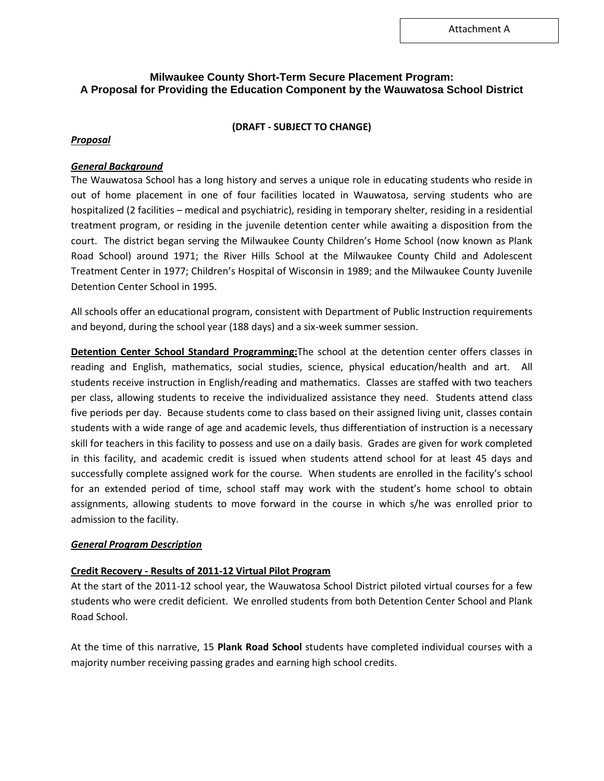# **Milwaukee County Short-Term Secure Placement Program: A Proposal for Providing the Education Component by the Wauwatosa School District**

### **(DRAFT - SUBJECT TO CHANGE)**

### *Proposal*

### *General Background*

The Wauwatosa School has a long history and serves a unique role in educating students who reside in out of home placement in one of four facilities located in Wauwatosa, serving students who are hospitalized (2 facilities – medical and psychiatric), residing in temporary shelter, residing in a residential treatment program, or residing in the juvenile detention center while awaiting a disposition from the court. The district began serving the Milwaukee County Children's Home School (now known as Plank Road School) around 1971; the River Hills School at the Milwaukee County Child and Adolescent Treatment Center in 1977; Children's Hospital of Wisconsin in 1989; and the Milwaukee County Juvenile Detention Center School in 1995.

All schools offer an educational program, consistent with Department of Public Instruction requirements and beyond, during the school year (188 days) and a six-week summer session.

**Detention Center School Standard Programming:**The school at the detention center offers classes in reading and English, mathematics, social studies, science, physical education/health and art. All students receive instruction in English/reading and mathematics. Classes are staffed with two teachers per class, allowing students to receive the individualized assistance they need. Students attend class five periods per day. Because students come to class based on their assigned living unit, classes contain students with a wide range of age and academic levels, thus differentiation of instruction is a necessary skill for teachers in this facility to possess and use on a daily basis. Grades are given for work completed in this facility, and academic credit is issued when students attend school for at least 45 days and successfully complete assigned work for the course. When students are enrolled in the facility's school for an extended period of time, school staff may work with the student's home school to obtain assignments, allowing students to move forward in the course in which s/he was enrolled prior to admission to the facility.

#### *General Program Description*

## **Credit Recovery - Results of 2011-12 Virtual Pilot Program**

At the start of the 2011-12 school year, the Wauwatosa School District piloted virtual courses for a few students who were credit deficient. We enrolled students from both Detention Center School and Plank Road School.

At the time of this narrative, 15 **Plank Road School** students have completed individual courses with a majority number receiving passing grades and earning high school credits.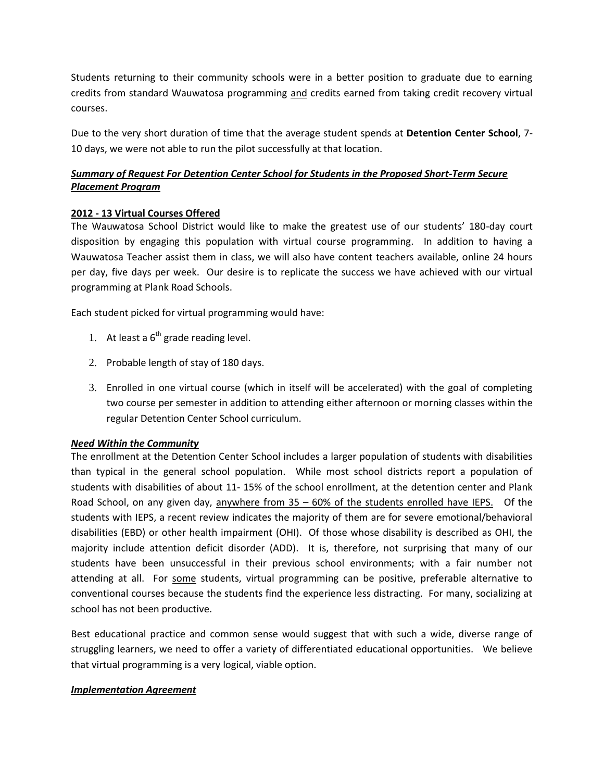Students returning to their community schools were in a better position to graduate due to earning credits from standard Wauwatosa programming and credits earned from taking credit recovery virtual courses.

Due to the very short duration of time that the average student spends at **Detention Center School**, 7- 10 days, we were not able to run the pilot successfully at that location.

# *Summary of Request For Detention Center School for Students in the Proposed Short-Term Secure Placement Program*

## **2012 - 13 Virtual Courses Offered**

The Wauwatosa School District would like to make the greatest use of our students' 180-day court disposition by engaging this population with virtual course programming. In addition to having a Wauwatosa Teacher assist them in class, we will also have content teachers available, online 24 hours per day, five days per week. Our desire is to replicate the success we have achieved with our virtual programming at Plank Road Schools.

Each student picked for virtual programming would have:

- 1. At least a  $6<sup>th</sup>$  grade reading level.
- 2. Probable length of stay of 180 days.
- 3. Enrolled in one virtual course (which in itself will be accelerated) with the goal of completing two course per semester in addition to attending either afternoon or morning classes within the regular Detention Center School curriculum.

## *Need Within the Community*

The enrollment at the Detention Center School includes a larger population of students with disabilities than typical in the general school population. While most school districts report a population of students with disabilities of about 11- 15% of the school enrollment, at the detention center and Plank Road School, on any given day, anywhere from 35 – 60% of the students enrolled have IEPS. Of the students with IEPS, a recent review indicates the majority of them are for severe emotional/behavioral disabilities (EBD) or other health impairment (OHI). Of those whose disability is described as OHI, the majority include attention deficit disorder (ADD). It is, therefore, not surprising that many of our students have been unsuccessful in their previous school environments; with a fair number not attending at all. For some students, virtual programming can be positive, preferable alternative to conventional courses because the students find the experience less distracting. For many, socializing at school has not been productive.

Best educational practice and common sense would suggest that with such a wide, diverse range of struggling learners, we need to offer a variety of differentiated educational opportunities. We believe that virtual programming is a very logical, viable option.

## *Implementation Agreement*